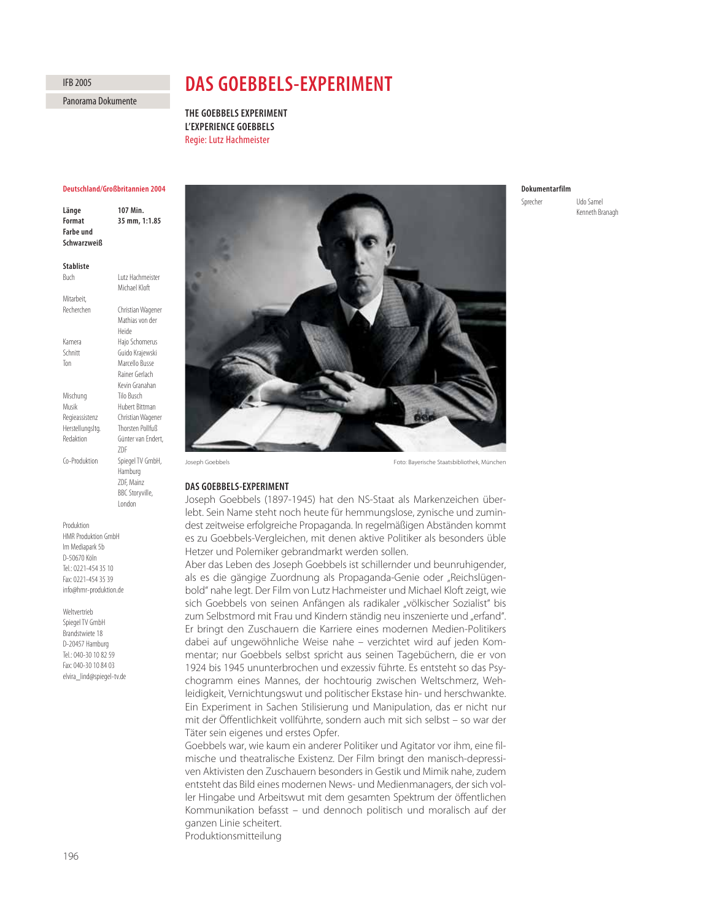Panorama Dokumente

# **DAS GOEBBELS-EXPERIMENT**

**THE GOEBBELS EXPERIMENT L'EXPERIENCE GOEBBELS** Regie: Lutz Hachmeister

# **Deutschland/Großbritannien 2004**

Länge 107 Min.<br>Format 35 mm, 1 **Format 35 mm, 1:1.85 Farbe und Schwarzweiß**

#### **Stabliste**

Buch Lutz Hachmeister Michael Kloft Mitarbeit, Recherchen Christian Wagener Mathias von der Heide Kamera Hajo Schomerus Schnitt Guido Krajewski Ton Marcello Busse Rainer Gerlach Kevin Granahan Mischung Tilo Busch Musik Hubert Bittman Regieassistenz Christian Wagener Herstellungsltg. Thorsten Pollfuß Redaktion Günter van Endert, ZDF Co-Produktion Spiegel TV GmbH, Hamburg ZDF, Mainz BBC Storyville, London

Produktion HMR Produktion GmbH Im Mediapark 5b D-50670 Köln Tel.: 0221-454 35 10 Fax: 0221-454 35 39 info@hmr-produktion.de

Weltvertrieb

Spiegel TV GmbH Brandstwiete 18 D-20457 Hamburg Tel.: 040-30 10 82 59 Fax: 040-30 10 84 03 elvira\_lind@spiegel-tv.de



## **DAS GOEBBELS-EXPERIMENT**

Joseph Goebbels (1897-1945) hat den NS-Staat als Markenzeichen überlebt. Sein Name steht noch heute für hemmungslose, zynische und zumindest zeitweise erfolgreiche Propaganda. In regelmäßigen Abständen kommt es zu Goebbels-Vergleichen, mit denen aktive Politiker als besonders üble Hetzer und Polemiker gebrandmarkt werden sollen.

Aber das Leben des Joseph Goebbels ist schillernder und beunruhigender, als es die gängige Zuordnung als Propaganda-Genie oder "Reichslügenbold" nahe legt. Der Film von Lutz Hachmeister und Michael Kloft zeigt, wie sich Goebbels von seinen Anfängen als radikaler "völkischer Sozialist" bis zum Selbstmord mit Frau und Kindern ständig neu inszenierte und "erfand". Er bringt den Zuschauern die Karriere eines modernen Medien-Politikers dabei auf ungewöhnliche Weise nahe – verzichtet wird auf jeden Kommentar; nur Goebbels selbst spricht aus seinen Tagebüchern, die er von 1924 bis 1945 ununterbrochen und exzessiv führte. Es entsteht so das Psychogramm eines Mannes, der hochtourig zwischen Weltschmerz, Wehleidigkeit, Vernichtungswut und politischer Ekstase hin- und herschwankte. Ein Experiment in Sachen Stilisierung und Manipulation, das er nicht nur mit der Öffentlichkeit vollführte, sondern auch mit sich selbst – so war der Täter sein eigenes und erstes Opfer.

Goebbels war, wie kaum ein anderer Politiker und Agitator vor ihm, eine filmische und theatralische Existenz. Der Film bringt den manisch-depressiven Aktivisten den Zuschauern besonders in Gestik und Mimik nahe, zudem entsteht das Bild eines modernen News- und Medienmanagers, der sich voller Hingabe und Arbeitswut mit dem gesamten Spektrum der öffentlichen Kommunikation befasst – und dennoch politisch und moralisch auf der ganzen Linie scheitert. Produktionsmitteilung

# **Dokumentarfilm**

Sprecher Udo Samel Kenneth Branagh